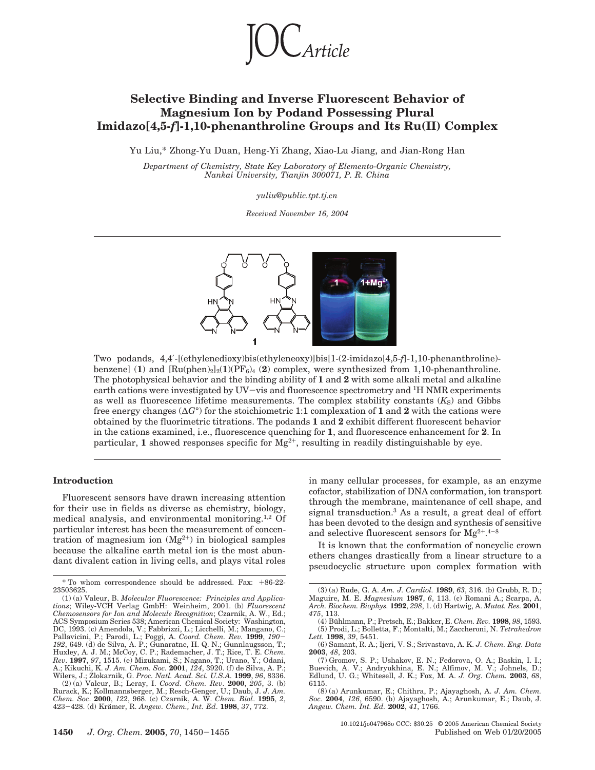

# **Selective Binding and Inverse Fluorescent Behavior of Magnesium Ion by Podand Possessing Plural Imidazo[4,5-***f***]-1,10-phenanthroline Groups and Its Ru(II) Complex**

Yu Liu,\* Zhong-Yu Duan, Heng-Yi Zhang, Xiao-Lu Jiang, and Jian-Rong Han

*Department of Chemistry, State Key Laboratory of Elemento-Organic Chemistry, Nankai University, Tianjin 300071, P. R. China*

*yuliu@public.tpt.tj.cn*

*Received November 16, 2004*



Two podands, 4,4′-[(ethylenedioxy)bis(ethyleneoxy)]bis[1-(2-imidazo[4,5-*f*]-1,10-phenanthroline) benzene] (1) and  $\left[\text{Ru(phen)}_{2}\right]_{2}(\mathbf{1})(PF_{6})_{4}$  (2) complex, were synthesized from 1,10-phenanthroline. The photophysical behavior and the binding ability of **1** and **2** with some alkali metal and alkaline earth cations were investigated by UV-vis and fluorescence spectrometry and 1H NMR experiments as well as fluorescence lifetime measurements. The complex stability constants  $(K_S)$  and Gibbs free energy changes (∆*G*°) for the stoichiometric 1:1 complexation of **1** and **2** with the cations were obtained by the fluorimetric titrations. The podands **1** and **2** exhibit different fluorescent behavior in the cations examined, i.e., fluorescence quenching for **1**, and fluorescence enhancement for **2**. In particular, 1 showed responses specific for  $Mg^{2+}$ , resulting in readily distinguishable by eye.

## **Introduction**

Fluorescent sensors have drawn increasing attention for their use in fields as diverse as chemistry, biology, medical analysis, and environmental monitoring.1,2 Of particular interest has been the measurement of concentration of magnesium ion  $(Mg^{2+})$  in biological samples because the alkaline earth metal ion is the most abundant divalent cation in living cells, and plays vital roles

(2) (a) Valeur, B.; Leray, I. *Coord. Chem. Rev*. **2000**, *205*, 3. (b) Rurack, K.; Kollmannsberger, M.; Resch-Genger, U.; Daub, J. *J. Am. Chem. Soc*. **2000**, *122*, 968. (c) Czarnik, A. W. *Chem. Biol*. **1995**, *2*, <sup>423</sup>-428. (d) Kra¨mer, R. *Angew. Chem., Int. Ed*. **<sup>1998</sup>**, *<sup>37</sup>*, 772.

in many cellular processes, for example, as an enzyme cofactor, stabilization of DNA conformation, ion transport through the membrane, maintenance of cell shape, and signal transduction.3 As a result, a great deal of effort has been devoted to the design and synthesis of sensitive and selective fluorescent sensors for  $Mg^{2+,4-8}$ 

It is known that the conformation of noncyclic crown ethers changes drastically from a linear structure to a pseudocyclic structure upon complex formation with

10.1021/jo047968o CCC: \$30.25 © 2005 American Chemical Society Published on Web 01/20/2005

<sup>\*</sup> To whom correspondence should be addressed. Fax: +86-22- 23503625.

<sup>(1) (</sup>a) Valeur, B. *Molecular Fluorescence: Principles and Applications*; Wiley-VCH Verlag GmbH: Weinheim, 2001. (b) *Fluorescent Chemosensors for Ion and Molecule Recognition*; Czarnik, A. W., Ed.; ACS Symposium Series 538; American Chemical Society: Washington, DC, 1993. (c) Amendola, V.; Fabbrizzi, L.; Licchelli, M.; Mangano, C.; Pallavicini, P.; Parodi, L.; Poggi, A. Coord. Chem. Rev. 1999, 190-Pallavicini, P.; Parodi, L.; Poggi, A. *Coord. Chem. Rev.* **1999**, *190–192*, 649. (d) de Silva, A. P.; Gunaratne, H. Q. N.; Gunnlaugsson, T.;<br>H2, 849. (d) de Silva, A. P.; Gunaratne, H. Q. N.; Gunnlaugsson, T.;<br>Hav.ley, A A.; Kikuchi, K. *J. Am. Chem. Soc.* **2001**, *124*, 3920. (f) de Silva, A. P.; Wilers, J.; Zlokarnik, G. *Proc. Natl. Acad. Sci. U.S.A.* **1999**, *96*, 8336.

<sup>(3) (</sup>a) Rude, G. A. *Am. J. Cardiol.* **1989**, *63*, 316. (b) Grubb, R. D.; Maguire, M. E. *Magnesium* **1987**, *6*, 113. (c) Romani A.; Scarpa, A. *Arch. Biochem. Biophys.* **1992**, *298*, 1. (d) Hartwig, A. *Mutat. Res.* **2001**, *475*, 113.

<sup>(4)</sup> Bühlmann, P.; Pretsch, E.; Bakker, E. *Chem. Rev.* **1998**, *98*, 1593.<br>(5) Prodi, L.; Bolletta, F.; Montalti, M.; Zaccheroni, N. *Tetrahedron Lett.* **1998**, *39*, 5451.

<sup>(6)</sup> Samant, R. A.; Ijeri, V. S.; Srivastava, A. K. *J. Chem. Eng. Data* **2003**, *48*, 203.

<sup>(7)</sup> Gromov, S. P.; Ushakov, E. N.; Fedorova, O. A.; Baskin, I. I.; Buevich, A. V.; Andryukhina, E. N.; Alfimov, M. V.; Johnels, D.; Edlund, U. G.; Whitesell, J. K.; Fox, M. A. *J. Org. Chem.* **2003**, *68*, 6115.

<sup>(8) (</sup>a) Arunkumar, E.; Chithra, P.; Ajayaghosh, A. *J. Am. Chem. Soc.* **2004**, *126*, 6590. (b) Ajayaghosh, A.; Arunkumar, E.; Daub, J. *Angew. Chem. Int. Ed.* **2002**, *41*, 1766.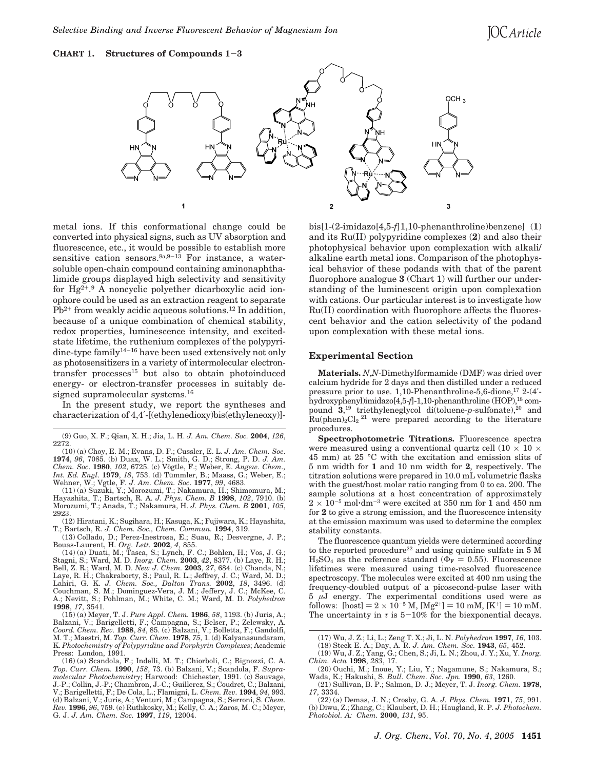# **CHART 1. Structures of Compounds 1**-**<sup>3</sup>**



metal ions. If this conformational change could be converted into physical signs, such as UV absorption and fluorescence, etc., it would be possible to establish more sensitive cation sensors.  $8a, 9-13$  For instance, a watersoluble open-chain compound containing aminonaphthalimide groups displayed high selectivity and sensitivity for Hg2+. <sup>9</sup> A noncyclic polyether dicarboxylic acid ionophore could be used as an extraction reagent to separate  $Pb^{2+}$  from weakly acidic aqueous solutions.<sup>12</sup> In addition, because of a unique combination of chemical stability, redox properties, luminescence intensity, and excitedstate lifetime, the ruthenium complexes of the polypyridine-type family<sup>14-16</sup> have been used extensively not only as photosensitizers in a variety of intermolecular electrontransfer processes15 but also to obtain photoinduced energy- or electron-transfer processes in suitably designed supramolecular systems.16

In the present study, we report the syntheses and characterization of 4,4′-[(ethylenedioxy)bis(ethyleneoxy)]-

(10) (a) Choy, E. M.; Evans, D. F.; Cussler, E. L. *J. Am. Chem. Soc*. **1974**, *96*, 7085. (b) Duax, W. L.; Smith, G. D.; Strong, P. D. *J. Am.*<br>*Chem. Soc.* **1980**, *102*, 6725. (c) Vögtle, F.; Weber, E. *Angew. Chem., Int. Ed. Engl.* **1979**, *18*, 753. (d) Tümmler, B.; Maass, G.; Weber, E.; Wehner, W.; Vgtle, F. J. Am. Chem. Soc. **1977**, 99, 4683. (11) (a) Suzuki, Y.; Morozumi, T.; Nakamura, H.; Shimomura, M.;

Hayashita, T.; Bartsch, R. A. *J. Phys. Chem. B* **1998**, *102*, 7910. (b) Morozumi, T.; Anada, T.; Nakamura, H. *J. Phys. Chem. B* **2001**, *105*, 2923.

(12) Hiratani, K.; Sugihara, H.; Kasuga, K.; Fujiwara, K.; Hayashita, T.; Bartsch, R. *J. Chem. Soc., Chem. Commun.* **1994**, 319.

(13) Collado, D.; Perez-Inestrosa, E.; Suau, R.; Desvergne, J. P.;

Bouas-Laurent, H. *Org. Lett.* **2002**, *4*, 855. (14) (a) Duati, M.; Tasca, S.; Lynch, F. C.; Bohlen, H.; Vos, J. G.; Stagni, S.; Ward, M. D. *Inorg. Chem. 2003, 42, 8377.* (b) Laye, R. H.;<br>Bell, Z. R.; Ward, M. D. *New J. Chem. 2003, 27, 684.* (c) Chanda, N.;<br>Laye, R. H.; Chakraborty, S.; Paul, R. L.; Jeffrey, J. C.; Ward, M. D.; Lahiri, G. K. *J. Chem. Soc., Dalton Trans.* **2002**, *18*, 3496. (d) Couchman, S. M.; Dominguez-Vera, J. M.; Jeffery, J. C.; McKee, C. A.; Nevitt, S.; Pohlman, M.; White, C. M.; Ward, M. D. *Polyhedron* **1998**, *17*, 3541.

(15) (a) Meyer, T. J. *Pure Appl. Chem.* **1986**, *58*, 1193. (b) Juris, A.; Balzani, V.; Barigelletti, F.; Campagna, S.; Belser, P.; Zelewsky, A. *Coord. Chem. Rev.* **1988**, *84*, 85. (c) Balzani, V.; Bolletta, F.; Gandolfi, M. T.; Maestri, M. *Top. Curr. Chem.* **1978**, *75*, 1. (d) Kalyanasundaram, K. *Photochemistry of Polypyridine and Porphyrin Complexes*; Academic Press: London, 1991.

bis[1-(2-imidazo[4,5-*f*]1,10-phenanthroline)benzene] (**1**) and its Ru(II) polypyridine complexes (**2**) and also their photophysical behavior upon complexation with alkali/ alkaline earth metal ions. Comparison of the photophysical behavior of these podands with that of the parent fluorophore analogue **3** (Chart 1) will further our understanding of the luminescent origin upon complexation with cations. Our particular interest is to investigate how Ru(II) coordination with fluorophore affects the fluorescent behavior and the cation selectivity of the podand upon complexation with these metal ions.

#### **Experimental Section**

**Materials.** *N*,*N*-Dimethylformamide (DMF) was dried over calcium hydride for 2 days and then distilled under a reduced pressure prior to use. 1,10-Phenanthroline-5,6-dione,<sup>17</sup> 2-(4'hydroxyphenyl)imidazo[4,5-*f*]-1,10-phenanthroline (HOP),18 compound 3,<sup>19</sup> triethyleneglycol di(toluene-p-sulfonate),<sup>20</sup> and  $Ru(phen)<sub>2</sub>Cl<sub>2</sub>$ <sup>21</sup> were prepared according to the literature procedures.

**Spectrophotometric Titrations.** Fluorescence spectra were measured using a conventional quartz cell  $(10 \times 10 \times$ 45 mm) at 25 °C with the excitation and emission slits of 5 nm width for **1** and 10 nm width for **2**, respectively. The titration solutions were prepared in 10.0 mL volumetric flasks with the guest/host molar ratio ranging from 0 to ca. 200. The sample solutions at a host concentration of approximately  $2 \times 10^{-5}$  mol·dm<sup>-3</sup> were excited at 350 nm for  $1$  and 450 nm for **2** to give a strong emission, and the fluorescence intensity at the emission maximum was used to determine the complex stability constants.

The fluorescence quantum yields were determined according to the reported procedure<sup>22</sup> and using quinine sulfate in  $5 \text{ M}$  $H<sub>2</sub>SO<sub>4</sub>$  as the reference standard ( $\Phi$ <sub>F</sub> = 0.55). Fluorescence lifetimes were measured using time-resolved fluorescence spectroscopy. The molecules were excited at 400 nm using the frequency-doubled output of a picosecond-pulse laser with 5 *µ*J energy. The experimental conditions used were as follows: [host] =  $2 \times 10^{-5}$  M, [Mg<sup>2+</sup>] = 10 mM, [K<sup>+</sup>] = 10 mM. The uncertainty in  $\tau$  is  $5-10\%$  for the biexponential decays.

<sup>(9)</sup> Guo, X. F.; Qian, X. H.; Jia, L. H. *J. Am. Chem. Soc.* **2004**, *126*, 2272.

<sup>(16) (</sup>a) Scandola, F.; Indelli, M. T.; Chiorboli, C.; Bignozzi, C. A. *Top. Curr. Chem.* **1990**, *158*, 73. (b) Balzani, V.; Scandola, F. *Supramolecular Photochemistry*; Harwood: Chichester, 1991. (c) Sauvage, J.-P.; Collin, J.-P.; Chambron, J.-C.; Guillerez, S.; Coudret, C.; Balzani, V.; Barigelletti, F.; De Cola, L.; Flamigni, L. *Chem. Rev.* **1994**, *94*, 993. (d) Balzani, V.; Juris, A.; Venturi, M.; Campagna, S.; Serroni, S. *Chem. Rev.* **1996**, *96*, 759. (e) Ruthkosky, M.; Kelly, C. A.; Zaros, M. C.; Meyer, G. J. *J. Am. Chem. Soc.* **1997**, *119*, 12004.

<sup>(17)</sup> Wu, J. Z.; Li, L.; Zeng T. X.; Ji, L. N. *Polyhedron* **1997**, *16*, 103.

<sup>(18)</sup> Steck E. A.; Day, A. R. *J. Am. Chem. Soc.* **1943**, *65*, 452.

<sup>(19)</sup> Wu, J. Z.; Yang, G.; Chen, S.; Ji, L. N.; Zhou, J. Y.; Xu, Y. *Inorg. Chim. Acta* **1998**, *283*, 17. (20) Ouchi, M.; Inoue, Y.; Liu, Y.; Nagamune, S.; Nakamura, S.;

Wada, K.; Hakushi, S. *Bull. Chem. Soc. Jpn.* **1990**, *63*, 1260. (21) Sullivan, B. P.; Salmon, D. J.; Meyer, T. J. *Inorg. Chem.* **1978**,

*<sup>17</sup>*, 3334. (22) (a) Demas, J. N.; Crosby, G. A. *J. Phys. Chem.* **1971**, *75*, 991.

<sup>(</sup>b) Diwu, Z.; Zhang, C.; Klaubert, D. H.; Haugland, R. P. *J. Photochem. Photobiol. A: Chem.* **2000**, *131*, 95.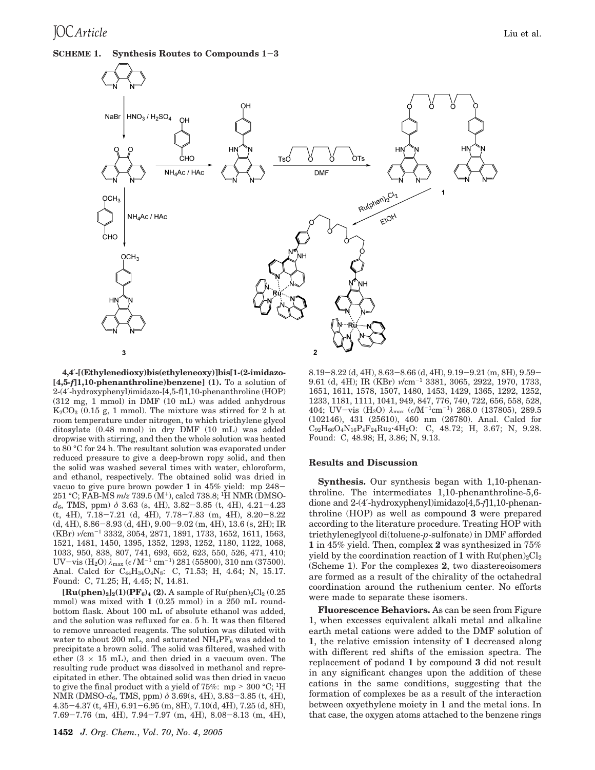# **SCHEME 1. Synthesis Routes to Compounds 1**-**<sup>3</sup>**



**4,4**′**-[(Ethylenedioxy)bis(ethyleneoxy)]bis[1-(2-imidazo- [4,5-***f***]1,10-phenanthroline)benzene] (1).** To a solution of 2-(4′-hydroxyphenyl)imidazo-[4,5-f]1,10-phenanthroline (HOP) (312 mg, 1 mmol) in DMF (10 mL) was added anhydrous  $K_2CO_3$  (0.15 g, 1 mmol). The mixture was stirred for 2 h at room temperature under nitrogen, to which triethylene glycol ditosylate (0.48 mmol) in dry DMF (10 mL) was added dropwise with stirring, and then the whole solution was heated to 80 °C for 24 h. The resultant solution was evaporated under reduced pressure to give a deep-brown ropy solid, and then the solid was washed several times with water, chloroform, and ethanol, respectively. The obtained solid was dried in vacuo to give pure brown powder **<sup>1</sup>** in 45% yield: mp 248- 251 °C; FAB-MS *m*/*z* 739.5 (M+), calcd 738.8; 1H NMR (DMSO*<sup>d</sup>*6, TMS, ppm) *<sup>δ</sup>* 3.63 (s, 4H), 3.82-3.85 (t, 4H), 4.21-4.23 (t, 4H), 7.18-7.21 (d, 4H), 7.78-7.83 (m, 4H), 8.20-8.22 (d, 4H), 8.86-8.93 (d, 4H), 9.00-9.02 (m, 4H), 13.6 (s, 2H); IR (KBr) *ν*/cm-<sup>1</sup> 3332, 3054, 2871, 1891, 1733, 1652, 1611, 1563, 1521, 1481, 1450, 1395, 1352, 1293, 1252, 1180, 1122, 1068, 1033, 950, 838, 807, 741, 693, 652, 623, 550, 526, 471, 410; UV-vis (H2O) *<sup>λ</sup>*max (*/*M-<sup>1</sup> cm-1) 281 (55800), 310 nm (37500). Anal. Calcd for C<sub>44</sub>H<sub>34</sub>O<sub>4</sub>N<sub>8</sub>: C, 71.53; H, 4.64; N, 15.17. Found: C, 71.25; H, 4.45; N, 14.81.

 $[\mathbf{Ru(phen)_2}]_2(1)(\mathbf{PF}_6)_4(2)$ . A sample of  $Ru(phen)_2Cl_2(0.25)$ mmol) was mixed with **1** (0.25 mmol) in a 250 mL roundbottom flask. About 100 mL of absolute ethanol was added, and the solution was refluxed for ca. 5 h. It was then filtered to remove unreacted reagents. The solution was diluted with water to about 200 mL, and saturated  $NH_4PF_6$  was added to precipitate a brown solid. The solid was filtered, washed with ether  $(3 \times 15 \text{ mL})$ , and then dried in a vacuum oven. The resulting rude product was dissolved in methanol and reprecipitated in ether. The obtained solid was then dried in vacuo to give the final product with a yield of 75%: mp  $> 300 °C$ ; <sup>1</sup>H NMR (DMSO-*d*6, TMS, ppm) *<sup>δ</sup>* 3.69(s, 4H), 3.83-3.85 (t, 4H), 4.35-4.37 (t, 4H), 6.91-6.95 (m, 8H), 7.10(d, 4H), 7.25 (d, 8H), 7.69-7.76 (m, 4H), 7.94-7.97 (m, 4H), 8.08-8.13 (m, 4H), 8.19-8.22 (d, 4H), 8.63-8.66 (d, 4H), 9.19-9.21 (m, 8H), 9.59- 9.61 (d, 4H); IR (KBr) *ν*/cm-<sup>1</sup> 3381, 3065, 2922, 1970, 1733, 1651, 1611, 1578, 1507, 1480, 1453, 1429, 1365, 1292, 1252, 1233, 1181, 1111, 1041, 949, 847, 776, 740, 722, 656, 558, 528, 404; UV-vis (H<sub>2</sub>O)  $\lambda_{\text{max}}$  ( $\epsilon/M^{-1}$ cm<sup>-1</sup>) 268.0 (137805), 289.5 (102146), 431 (25610), 460 nm (26780). Anal. Calcd for  $C_{92}H_{66}O_4N_{16}P_4F_{24}Ru_2 \cdot 4H_2O$ : C, 48.72; H, 3.67; N, 9.28. Found: C, 48.98; H, 3.86; N, 9.13.

### **Results and Discussion**

**Synthesis.** Our synthesis began with 1,10-phenanthroline. The intermediates 1,10-phenanthroline-5,6 dione and 2-(4′-hydroxyphenyl)imidazo[4,5-*f*]1,10-phenanthroline (HOP) as well as compound **3** were prepared according to the literature procedure. Treating HOP with triethyleneglycol di(toluene-*p*-sulfonate) in DMF afforded **1** in 45% yield. Then, complex **2** was synthesized in 75% yield by the coordination reaction of **1** with  $Ru(phen)<sub>2</sub>Cl<sub>2</sub>$ (Scheme 1). For the complexes **2**, two diastereoisomers are formed as a result of the chirality of the octahedral coordination around the ruthenium center. No efforts were made to separate these isomers.

**Fluorescence Behaviors.** As can be seen from Figure 1, when excesses equivalent alkali metal and alkaline earth metal cations were added to the DMF solution of **1**, the relative emission intensity of **1** decreased along with different red shifts of the emission spectra. The replacement of podand **1** by compound **3** did not result in any significant changes upon the addition of these cations in the same conditions, suggesting that the formation of complexes be as a result of the interaction between oxyethylene moiety in **1** and the metal ions. In that case, the oxygen atoms attached to the benzene rings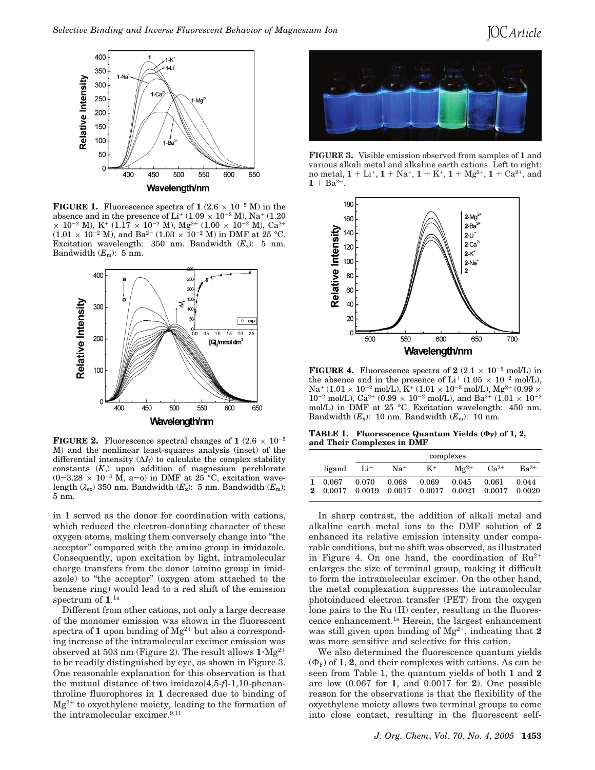# **IOC** Article



**FIGURE 1.** Fluorescence spectra of  $1 (2.6 \times 10^{-5} \text{ M})$  in the absence and in the presence of  $Li^+(1.09 \times 10^{-2} M)$ , Na<sup>+</sup> (1.20)  $\times$  10<sup>-2</sup> M), K<sup>+</sup> (1.17  $\times$  10<sup>-2</sup> M), Mg<sup>2+</sup> (1.00  $\times$  10<sup>-2</sup> M), Ca<sup>2+</sup>  $(1.01 \times 10^{-2} \text{ M})$ , and Ba<sup>2+</sup>  $(1.03 \times 10^{-2} \text{ M})$  in DMF at 25 °C. Excitation wavelength: 350 nm. Bandwidth  $(E_x)$ : 5 nm. Bandwidth  $(E_m)$ : 5 nm.



**FIGURE 2.** Fluorescence spectral changes of  $1 (2.6 \times 10^{-5})$ M) and the nonlinear least-squares analysis (inset) of the differential intensity  $(\Delta I_f)$  to calculate the complex stability constants  $(K<sub>s</sub>)$  upon addition of magnesium perchlorate  $(0-3.28 \times 10^{-3} \text{ M}, \text{ a}-\text{o})$  in DMF at  $25^{\circ}$ C, excitation wavelength ( $\lambda_{\rm ex}$ ) 350 nm. Bandwidth ( $E_{\rm x}$ ): 5 nm. Bandwidth ( $E_{\rm m}$ ): 5 nm.

in **1** served as the donor for coordination with cations, which reduced the electron-donating character of these oxygen atoms, making them conversely change into "the acceptor" compared with the amino group in imidazole. Consequently, upon excitation by light, intramolecular charge transfers from the donor (amino group in imidazole) to "the acceptor" (oxygen atom attached to the benzene ring) would lead to a red shift of the emission spectrum of **1**. 1a

Different from other cations, not only a large decrease of the monomer emission was shown in the fluorescent spectra of  $1$  upon binding of  $Mg^{2+}$  but also a corresponding increase of the intramolecular excimer emission was observed at 503 nm (Figure 2). The result allows **<sup>1</sup>**'Mg2<sup>+</sup> to be readily distinguished by eye, as shown in Figure 3. One reasonable explanation for this observation is that the mutual distance of two imidazo[4,5-*f*]-1,10-phenanthroline fluorophores in **1** decreased due to binding of  $Mg^{2+}$  to oxyethylene moiety, leading to the formation of the intramolecular excimer.<sup>9,11</sup>



**FIGURE 3.** Visible emission observed from samples of **1** and various alkali metal and alkaline earth cations. Left to right: no metal,  $1 + Li^{+}$ ,  $1 + Na^{+}$ ,  $1 + K^{+}$ ,  $1 + Mg^{2+}$ ,  $1 + Ca^{2+}$ , and  $1 + Ba^{2+}$ .



**FIGURE 4.** Fluorescence spectra of  $2$  (2.1  $\times$  10<sup>-5</sup> mol/L) in the absence and in the presence of Li<sup>+</sup> (1.05  $\times$  10<sup>-2</sup> mol/L),  $Na^+(1.01 \times 10^{-2} \text{ mol/L}), K^+(1.01 \times 10^{-2} \text{ mol/L}), Mg^{2+}(0.99 \times$ 10<sup>-2</sup> mol/L), Ca<sup>2+</sup> (0.99  $\times$  10<sup>-2</sup> mol/L), and Ba<sup>2+</sup> (1.01  $\times$  10<sup>-2</sup> mol/L) in DMF at 25 °C. Excitation wavelength: 450 nm. Bandwidth  $(E_x)$ : 10 nm. Bandwidth  $(E_m)$ : 10 nm.

**TABLE 1. Fluorescence Quantum Yields (ΦF) of 1, 2, and Their Complexes in DMF**

|          |                 | complexes       |          |                                        |           |           |                 |
|----------|-----------------|-----------------|----------|----------------------------------------|-----------|-----------|-----------------|
|          | ligand          | Li <sup>+</sup> | $Na^{+}$ | $K^+$                                  | $Mg^{2+}$ | $Ca^{2+}$ | $Ba^{2+}$       |
| $\bf{2}$ | 0.067<br>0.0017 | 0.070<br>0.0019 | 0.068    | 0.069<br>$0.0017$ 0.0017 0.0021 0.0017 | 0.045     | 0.061     | 0.044<br>0.0020 |

In sharp contrast, the addition of alkali metal and alkaline earth metal ions to the DMF solution of **2** enhanced its relative emission intensity under comparable conditions, but no shift was observed, as illustrated in Figure 4. On one hand, the coordination of  $Ru^{2+}$ enlarges the size of terminal group, making it difficult to form the intramolecular excimer. On the other hand, the metal complexation suppresses the intramolecular photoinduced electron transfer (PET) from the oxygen lone pairs to the Ru (II) center, resulting in the fluorescence enhancement.1a Herein, the largest enhancement was still given upon binding of Mg2+, indicating that **2** was more sensitive and selective for this cation.

We also determined the fluorescence quantum yields  $(\Phi_F)$  of **1**, **2**, and their complexes with cations. As can be seen from Table 1, the quantum yields of both **1** and **2** are low (0.067 for **1**, and 0.0017 for **2**). One possible reason for the observations is that the flexibility of the oxyethylene moiety allows two terminal groups to come into close contact, resulting in the fluorescent self-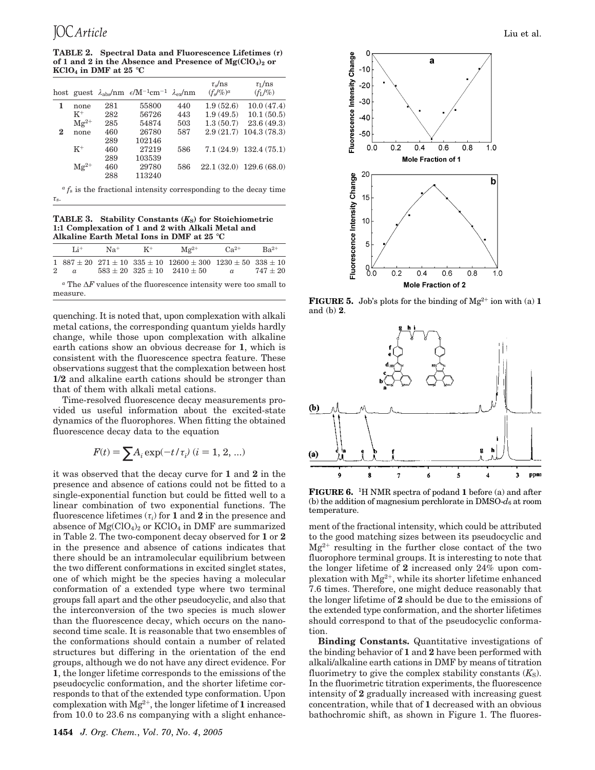**TABLE 2. Spectral Data and Fluorescence Lifetimes (***τ***)** of 1 and 2 in the Absence and Presence of  $Mg(CIO<sub>4</sub>)<sub>2</sub>$  or **KClO<sub>4</sub>** in DMF at 25  $^{\circ}$ C

|   |           |     | host guest $\lambda_{\rm abs}/\rm nm$ $\epsilon/\rm M^{-1}cm^{-1}$ $\lambda_{\rm ex}/\rm nm$ |     | $\tau_s$ /ns<br>$(f_s/g_0)^a$ | $\tau_I$ /ns<br>$(f_1/\%)$ |
|---|-----------|-----|----------------------------------------------------------------------------------------------|-----|-------------------------------|----------------------------|
| 1 | none      | 281 | 55800                                                                                        | 440 | 1.9(52.6)                     | 10.0(47.4)                 |
|   | $K^+$     | 282 | 56726                                                                                        | 443 | 1.9(49.5)                     | 10.1(50.5)                 |
|   | $Mg^{2+}$ | 285 | 54874                                                                                        | 503 | 1.3(50.7)                     | 23.6(49.3)                 |
| 2 | none      | 460 | 26780                                                                                        | 587 | 2.9(21.7)                     | 104.3(78.3)                |
|   |           | 289 | 102146                                                                                       |     |                               |                            |
|   | $K^+$     | 460 | 27219                                                                                        | 586 |                               | $7.1(24.9)$ 132.4 (75.1)   |
|   |           | 289 | 103539                                                                                       |     |                               |                            |
|   | $Mg^{2+}$ | 460 | 29780                                                                                        | 586 |                               | $22.1(32.0)$ 129.6 (68.0)  |
|   |           | 288 | 113240                                                                                       |     |                               |                            |

 $a f<sub>s</sub>$  is the fractional intensity corresponding to the decay time *τ*s.

**TABLE 3. Stability Constants (***K***S) for Stoichiometric 1:1 Complexation of 1 and 2 with Alkali Metal and Alkaline Earth Metal Ions in DMF at 25** °**C**

| $Li^+$                                                                                                                                                                                                                                   |  | $Na^+$ $K^+$ |                                                                                                                                                          | $\rm Mg^{2+}$ $\rm Ca^{2+}$ | $Ba^{2+}$  |  |  |
|------------------------------------------------------------------------------------------------------------------------------------------------------------------------------------------------------------------------------------------|--|--------------|----------------------------------------------------------------------------------------------------------------------------------------------------------|-----------------------------|------------|--|--|
|                                                                                                                                                                                                                                          |  |              | $1\quad 887 \pm 20\quad 271 \pm 10\quad 335 \pm 10\quad 12600 \pm 300\quad 1230 \pm 50\quad 338 \pm 10$<br>2 a $583 \pm 20$ $325 \pm 10$ $2410 \pm 50$ a |                             | $747\pm20$ |  |  |
| $\alpha$ m $\alpha$ . A m $\alpha$ is the set of the set of the set of the set of the set of the set of the set of the set of the set of the set of the set of the set of the set of the set of the set of the set of the set of the set |  |              |                                                                                                                                                          |                             |            |  |  |

*<sup>a</sup>* The ∆*F* values of the fluorescence intensity were too small to measure.

quenching. It is noted that, upon complexation with alkali metal cations, the corresponding quantum yields hardly change, while those upon complexation with alkaline earth cations show an obvious decrease for **1**, which is consistent with the fluorescence spectra feature. These observations suggest that the complexation between host **1**/**2** and alkaline earth cations should be stronger than that of them with alkali metal cations.

Time-resolved fluorescence decay measurements provided us useful information about the excited-state dynamics of the fluorophores. When fitting the obtained fluorescence decay data to the equation

$$
F(t) = \sum A_i \exp(-t/\tau_i) \ (i = 1, 2, ...)
$$

it was observed that the decay curve for **1** and **2** in the presence and absence of cations could not be fitted to a single-exponential function but could be fitted well to a linear combination of two exponential functions. The fluorescence lifetimes (*τi*) for **1** and **2** in the presence and absence of  $Mg(CIO<sub>4</sub>)<sub>2</sub>$  or  $KClO<sub>4</sub>$  in DMF are summarized in Table 2. The two-component decay observed for **1** or **2** in the presence and absence of cations indicates that there should be an intramolecular equilibrium between the two different conformations in excited singlet states, one of which might be the species having a molecular conformation of a extended type where two terminal groups fall apart and the other pseudocyclic, and also that the interconversion of the two species is much slower than the fluorescence decay, which occurs on the nanosecond time scale. It is reasonable that two ensembles of the conformations should contain a number of related structures but differing in the orientation of the end groups, although we do not have any direct evidence. For **1**, the longer lifetime corresponds to the emissions of the pseudocyclic conformation, and the shorter lifetime corresponds to that of the extended type conformation. Upon complexation with Mg2+, the longer lifetime of **1** increased from 10.0 to 23.6 ns companying with a slight enhance-



**FIGURE 5.** Job's plots for the binding of  $Mg^{2+}$  ion with (a) **1** and (b) **2**.



**FIGURE 6.** 1H NMR spectra of podand **1** before (a) and after (b) the addition of magnesium perchlorate in DMSO-*d*<sup>6</sup> at room temperature.

ment of the fractional intensity, which could be attributed to the good matching sizes between its pseudocyclic and  $Mg^{2+}$  resulting in the further close contact of the two fluorophore terminal groups. It is interesting to note that the longer lifetime of **2** increased only 24% upon complexation with  $Mg^{2+}$ , while its shorter lifetime enhanced 7.6 times. Therefore, one might deduce reasonably that the longer lifetime of **2** should be due to the emissions of the extended type conformation, and the shorter lifetimes should correspond to that of the pseudocyclic conformation.

**Binding Constants.** Quantitative investigations of the binding behavior of **1** and **2** have been performed with alkali/alkaline earth cations in DMF by means of titration fluorimetry to give the complex stability constants  $(K_S)$ . In the fluorimetric titration experiments, the fluorescence intensity of **2** gradually increased with increasing guest concentration, while that of **1** decreased with an obvious bathochromic shift, as shown in Figure 1. The fluores-